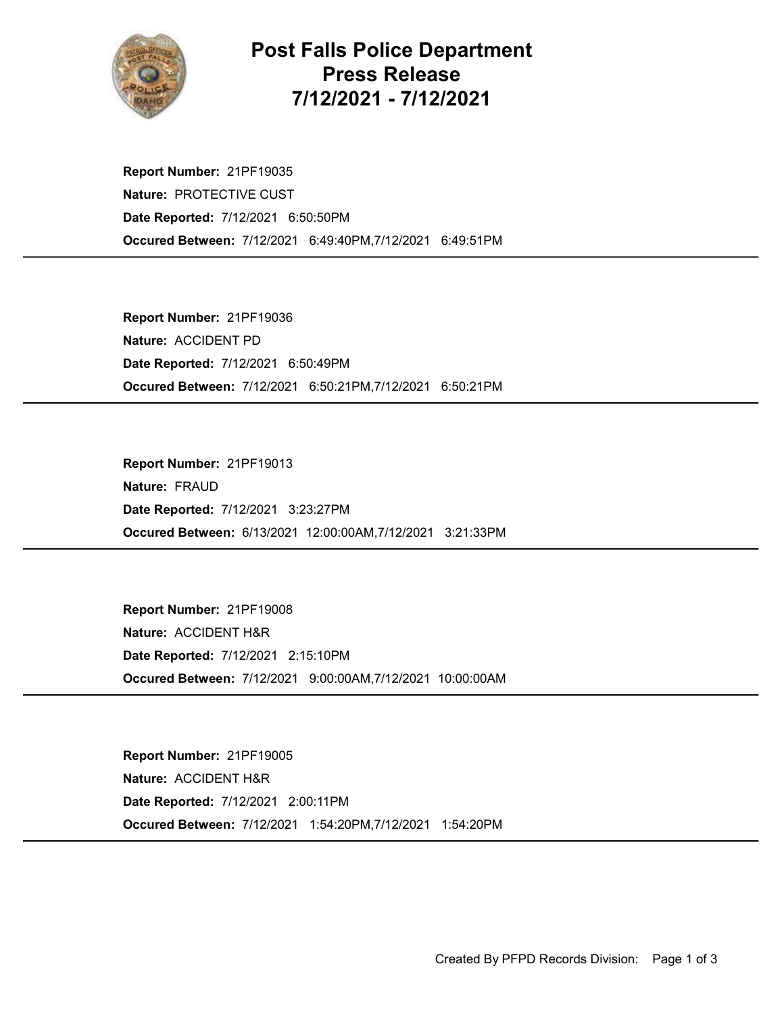

## Post Falls Police Department Press Release 7/12/2021 - 7/12/2021

Occured Between: 7/12/2021 6:49:40PM,7/12/2021 6:49:51PM Report Number: 21PF19035 Nature: PROTECTIVE CUST Date Reported: 7/12/2021 6:50:50PM

Occured Between: 7/12/2021 6:50:21PM,7/12/2021 6:50:21PM Report Number: 21PF19036 Nature: ACCIDENT PD Date Reported: 7/12/2021 6:50:49PM

Occured Between: 6/13/2021 12:00:00AM,7/12/2021 3:21:33PM Report Number: 21PF19013 Nature: FRAUD Date Reported: 7/12/2021 3:23:27PM

Occured Between: 7/12/2021 9:00:00AM,7/12/2021 10:00:00AM Report Number: 21PF19008 Nature: ACCIDENT H&R Date Reported: 7/12/2021 2:15:10PM

Occured Between: 7/12/2021 1:54:20PM,7/12/2021 1:54:20PM Report Number: 21PF19005 Nature: ACCIDENT H&R Date Reported: 7/12/2021 2:00:11PM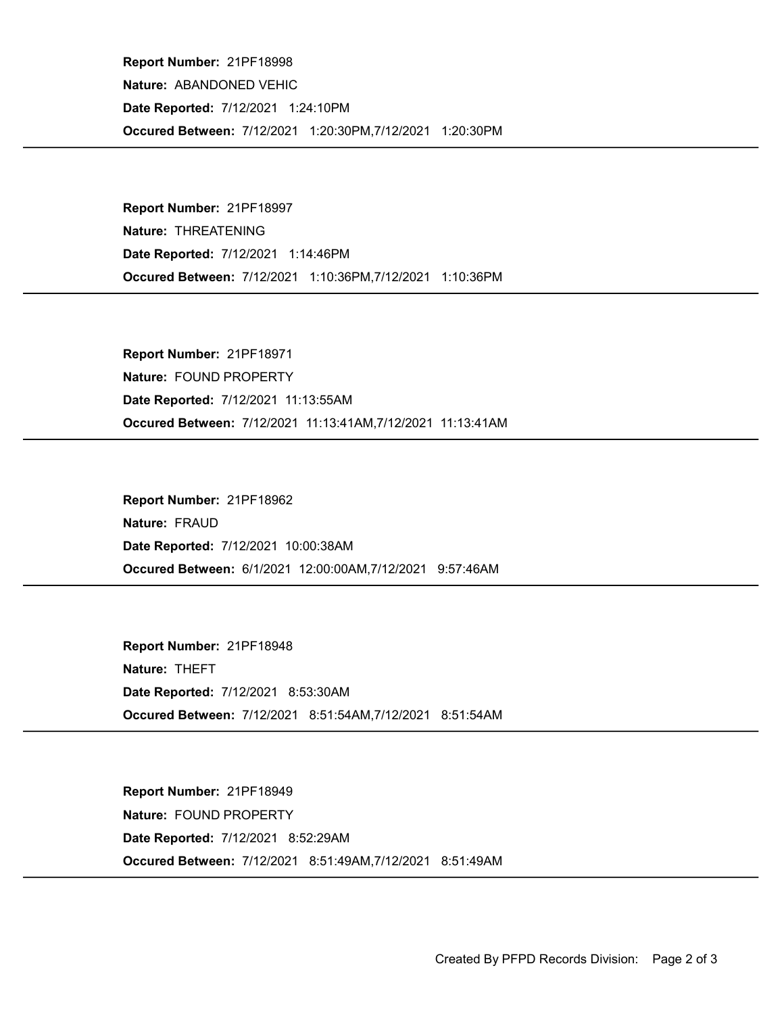Occured Between: 7/12/2021 1:20:30PM,7/12/2021 1:20:30PM Report Number: 21PF18998 Nature: ABANDONED VEHIC Date Reported: 7/12/2021 1:24:10PM

Occured Between: 7/12/2021 1:10:36PM,7/12/2021 1:10:36PM Report Number: 21PF18997 Nature: THREATENING Date Reported: 7/12/2021 1:14:46PM

Occured Between: 7/12/2021 11:13:41AM,7/12/2021 11:13:41AM Report Number: 21PF18971 Nature: FOUND PROPERTY Date Reported: 7/12/2021 11:13:55AM

Occured Between: 6/1/2021 12:00:00AM,7/12/2021 9:57:46AM Report Number: 21PF18962 Nature: FRAUD Date Reported: 7/12/2021 10:00:38AM

Occured Between: 7/12/2021 8:51:54AM,7/12/2021 8:51:54AM Report Number: 21PF18948 Nature: THEFT Date Reported: 7/12/2021 8:53:30AM

Occured Between: 7/12/2021 8:51:49AM,7/12/2021 8:51:49AM Report Number: 21PF18949 Nature: FOUND PROPERTY Date Reported: 7/12/2021 8:52:29AM